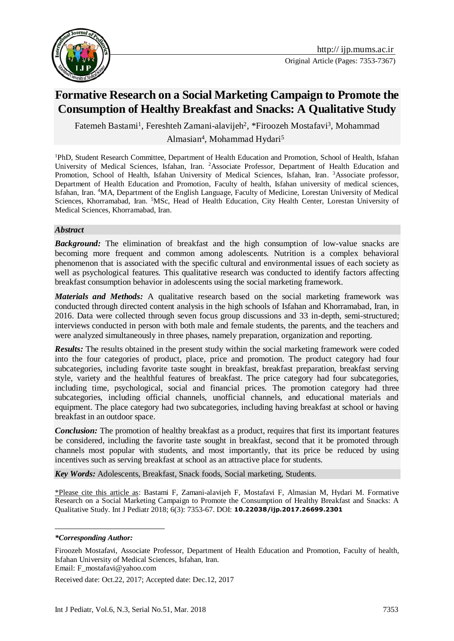

# **Formative Research on a Social Marketing Campaign to Promote the Consumption of Healthy Breakfast and Snacks: A Qualitative Study**

Fatemeh Bastami<sup>1</sup>, Fereshteh Zamani-alavijeh<sup>2</sup>, \*Firoozeh Mostafavi<sup>3</sup>, Mohammad Almasian<sup>4</sup>, Mohammad Hydari<sup>5</sup>

<sup>1</sup>PhD, Student Research Committee, Department of Health Education and Promotion, School of Health, Isfahan University of Medical Sciences, Isfahan, Iran. <sup>2</sup>Associate Professor, Department of Health Education and Promotion, School of Health, Isfahan University of Medical Sciences, Isfahan, Iran. <sup>3</sup>Associate professor, Department of Health Education and Promotion, Faculty of health, Isfahan university of medical sciences, Isfahan, Iran. <sup>4</sup>MA, Department of the English Language, Faculty of Medicine, Lorestan University of Medical Sciences, Khorramabad, Iran. <sup>5</sup>MSc, Head of Health Education, City Health Center, Lorestan University of Medical Sciences, Khorramabad, Iran.

#### *Abstract*

*Background:* The elimination of breakfast and the high consumption of low-value snacks are becoming more frequent and common among adolescents. Nutrition is a complex behavioral phenomenon that is associated with the specific cultural and environmental issues of each society as well as psychological features. This qualitative research was conducted to identify factors affecting breakfast consumption behavior in adolescents using the social marketing framework.

*Materials and Methods:* A qualitative research based on the social marketing framework was conducted through directed content analysis in the high schools of Isfahan and Khorramabad, Iran, in 2016. Data were collected through seven focus group discussions and 33 in-depth, semi-structured; interviews conducted in person with both male and female students, the parents, and the teachers and were analyzed simultaneously in three phases, namely preparation, organization and reporting.

*Results:* The results obtained in the present study within the social marketing framework were coded into the four categories of product, place, price and promotion. The product category had four subcategories, including favorite taste sought in breakfast, breakfast preparation, breakfast serving style, variety and the healthful features of breakfast. The price category had four subcategories, including time, psychological, social and financial prices. The promotion category had three subcategories, including official channels, unofficial channels, and educational materials and equipment. The place category had two subcategories, including having breakfast at school or having breakfast in an outdoor space.

*Conclusion:* The promotion of healthy breakfast as a product, requires that first its important features be considered, including the favorite taste sought in breakfast, second that it be promoted through channels most popular with students, and most importantly, that its price be reduced by using incentives such as serving breakfast at school as an attractive place for students.

*Key Words:* Adolescents, Breakfast, Snack foods, Social marketing, Students.

\*Please cite this article as: Bastami F, Zamani-alavijeh F, Mostafavi F, Almasian M, Hydari M. Formative Research on a Social Marketing Campaign to Promote the Consumption of Healthy Breakfast and Snacks: A Qualitative Study. Int J Pediatr 2018; 6(3): 7353-67. DOI: **10.22038/ijp.2017.26699.2301**

<u>.</u>

Received date: Oct.22, 2017; Accepted date: Dec.12, 2017

*<sup>\*</sup>Corresponding Author:*

Firoozeh Mostafavi, Associate Professor, Department of Health Education and Promotion, Faculty of health, Isfahan University of Medical Sciences, Isfahan, Iran. Email: [F\\_mostafavi@yahoo.com](mailto:F_mostafavi@yahoo.com)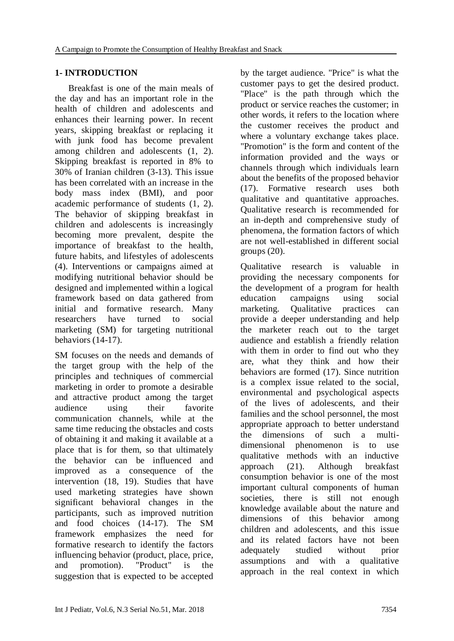### **1- INTRODUCTION**

 Breakfast is one of the main meals of the day and has an important role in the health of children and adolescents and enhances their learning power. In recent years, skipping breakfast or replacing it with junk food has become prevalent among children and adolescents [\(1,](#page-11-0) [2\)](#page-11-1). Skipping breakfast is reported in 8% to 30% of Iranian children [\(3-13\)](#page-11-2). This issue has been correlated with an increase in the body mass index (BMI), and poor academic performance of students [\(1,](#page-11-0) [2\)](#page-11-1). The behavior of skipping breakfast in children and adolescents is increasingly becoming more prevalent, despite the importance of breakfast to the health, future habits, and lifestyles of adolescents [\(4\)](#page-12-0). Interventions or campaigns aimed at modifying nutritional behavior should be designed and implemented within a logical framework based on data gathered from initial and formative research. Many researchers have turned to social marketing (SM) for targeting nutritional behaviors [\(14-17\)](#page-12-1).

SM focuses on the needs and demands of the target group with the help of the principles and techniques of commercial marketing in order to promote a desirable and attractive product among the target audience using their favorite communication channels, while at the same time reducing the obstacles and costs of obtaining it and making it available at a place that is for them, so that ultimately the behavior can be influenced and improved as a consequence of the intervention [\(18,](#page-12-2) [19\)](#page-12-3). Studies that have used marketing strategies have shown significant behavioral changes in the participants, such as improved nutrition and food choices [\(14-17\)](#page-12-1). The SM framework emphasizes the need for formative research to identify the factors influencing behavior (product, place, price, and promotion). "Product" is the suggestion that is expected to be accepted by the target audience. "Price" is what the customer pays to get the desired product. "Place" is the path through which the product or service reaches the customer; in other words, it refers to the location where the customer receives the product and where a voluntary exchange takes place. "Promotion" is the form and content of the information provided and the ways or channels through which individuals learn about the benefits of the proposed behavior [\(17\)](#page-12-4). Formative research uses both qualitative and quantitative approaches. Qualitative research is recommended for an in-depth and comprehensive study of phenomena, the formation factors of which are not well-established in different social groups  $(20)$ .

Qualitative research is valuable in providing the necessary components for the development of a program for health education campaigns using social marketing. Qualitative practices can provide a deeper understanding and help the marketer reach out to the target audience and establish a friendly relation with them in order to find out who they are, what they think and how their behaviors are formed [\(17\)](#page-12-4). Since nutrition is a complex issue related to the social, environmental and psychological aspects of the lives of adolescents, and their families and the school personnel, the most appropriate approach to better understand the dimensions of such a multidimensional phenomenon is to use qualitative methods with an inductive approach [\(21\)](#page-12-6). Although breakfast consumption behavior is one of the most important cultural components of human societies, there is still not enough knowledge available about the nature and dimensions of this behavior among children and adolescents, and this issue and its related factors have not been adequately studied without prior assumptions and with a qualitative approach in the real context in which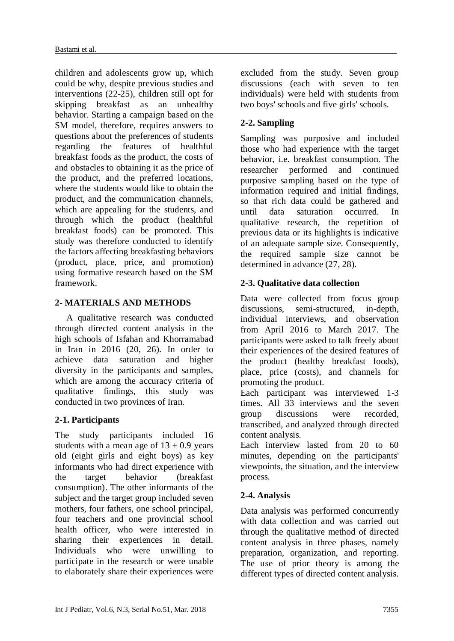children and adolescents grow up, which could be why, despite previous studies and interventions [\(22-25\)](#page-13-0), children still opt for skipping breakfast as an unhealthy behavior. Starting a campaign based on the SM model, therefore, requires answers to questions about the preferences of students regarding the features of healthful breakfast foods as the product, the costs of and obstacles to obtaining it as the price of the product, and the preferred locations, where the students would like to obtain the product, and the communication channels, which are appealing for the students, and through which the product (healthful breakfast foods) can be promoted. This study was therefore conducted to identify the factors affecting breakfasting behaviors (product, place, price, and promotion) using formative research based on the SM framework.

### **2- MATERIALS AND METHODS**

 A qualitative research was conducted through directed content analysis in the high schools of Isfahan and Khorramabad in Iran in 2016 [\(20,](#page-12-5) [26\)](#page-13-1). In order to achieve data saturation and higher diversity in the participants and samples, which are among the accuracy criteria of qualitative findings, this study was conducted in two provinces of Iran.

### **2-1. Participants**

The study participants included 16 students with a mean age of  $13 \pm 0.9$  years old (eight girls and eight boys) as key informants who had direct experience with the target behavior (breakfast consumption). The other informants of the subject and the target group included seven mothers, four fathers, one school principal, four teachers and one provincial school health officer, who were interested in sharing their experiences in detail. Individuals who were unwilling to participate in the research or were unable to elaborately share their experiences were excluded from the study. Seven group discussions (each with seven to ten individuals) were held with students from two boys' schools and five girls' schools.

## **2-2. Sampling**

Sampling was purposive and included those who had experience with the target behavior, i.e. breakfast consumption. The researcher performed and continued purposive sampling based on the type of information required and initial findings, so that rich data could be gathered and until data saturation occurred. In qualitative research, the repetition of previous data or its highlights is indicative of an adequate sample size. Consequently, the required sample size cannot be determined in advance [\(27,](#page-13-2) [28\)](#page-13-3).

### **2-3. Qualitative data collection**

Data were collected from focus group discussions, semi-structured, in-depth, individual interviews, and observation from April 2016 to March 2017. The participants were asked to talk freely about their experiences of the desired features of the product (healthy breakfast foods), place, price (costs), and channels for promoting the product.

Each participant was interviewed 1-3 times. All 33 interviews and the seven group discussions were recorded, transcribed, and analyzed through directed content analysis.

Each interview lasted from 20 to 60 minutes, depending on the participants' viewpoints, the situation, and the interview process.

### **2-4. Analysis**

Data analysis was performed concurrently with data collection and was carried out through the qualitative method of directed content analysis in three phases, namely preparation, organization, and reporting. The use of prior theory is among the different types of directed content analysis.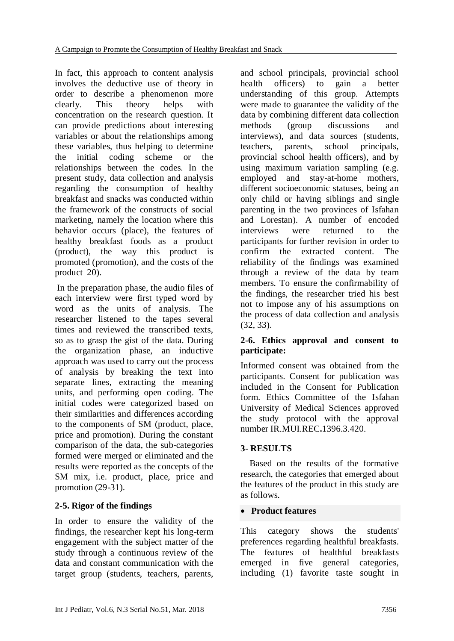In fact, this approach to content analysis involves the deductive use of theory in order to describe a phenomenon more clearly. This theory helps with concentration on the research question. It can provide predictions about interesting variables or about the relationships among these variables, thus helping to determine the initial coding scheme or the relationships between the codes. In the present study, data collection and analysis regarding the consumption of healthy breakfast and snacks was conducted within the framework of the constructs of social marketing, namely the location where this behavior occurs (place), the features of healthy breakfast foods as a product (product), the way this product is promoted (promotion), and the costs of the product [20\)](#page-12-5).

In the preparation phase, the audio files of each interview were first typed word by word as the units of analysis. The researcher listened to the tapes several times and reviewed the transcribed texts, so as to grasp the gist of the data. During the organization phase, an inductive approach was used to carry out the process of analysis by breaking the text into separate lines, extracting the meaning units, and performing open coding. The initial codes were categorized based on their similarities and differences according to the components of SM (product, place, price and promotion). During the constant comparison of the data, the sub-categories formed were merged or eliminated and the results were reported as the concepts of the SM mix, i.e. product, place, price and promotion [\(29-31\)](#page-13-4).

### **2-5. Rigor of the findings**

In order to ensure the validity of the findings, the researcher kept his long-term engagement with the subject matter of the study through a continuous review of the data and constant communication with the target group (students, teachers, parents,

and school principals, provincial school health officers) to gain a better understanding of this group. Attempts were made to guarantee the validity of the data by combining different data collection methods (group discussions and interviews), and data sources (students, teachers, parents, school principals, provincial school health officers), and by using maximum variation sampling (e.g. employed and stay-at-home mothers, different socioeconomic statuses, being an only child or having siblings and single parenting in the two provinces of Isfahan and Lorestan). A number of encoded interviews were returned to the participants for further revision in order to confirm the extracted content. The reliability of the findings was examined through a review of the data by team members. To ensure the confirmability of the findings, the researcher tried his best not to impose any of his assumptions on the process of data collection and analysis [\(32,](#page-13-5) [33\)](#page-13-6).

### **2-6. Ethics approval and consent to participate:**

Informed consent was obtained from the participants. Consent for publication was included in the Consent for Publication form. Ethics Committee of the Isfahan University of Medical Sciences approved the study protocol with the approval number IR.MUI.REC**.**1396.3.420.

#### **3- RESULTS**

 Based on the results of the formative research, the categories that emerged about the features of the product in this study are as follows.

#### **Product features**

This category shows the students' preferences regarding healthful breakfasts. The features of healthful breakfasts emerged in five general categories, including (1) favorite taste sought in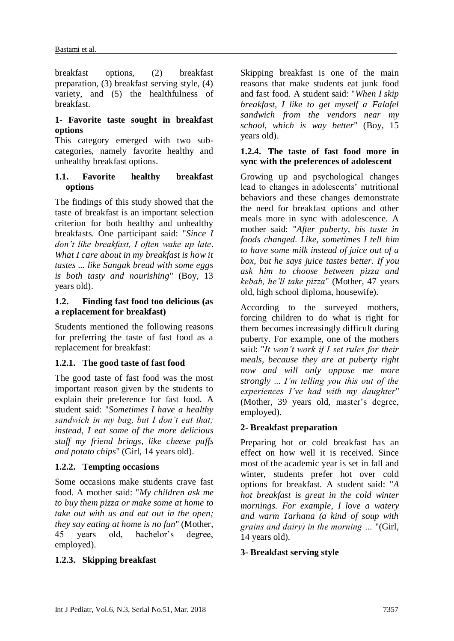breakfast options, (2) breakfast preparation, (3) breakfast serving style, (4) variety, and (5) the healthfulness of breakfast.

#### **1- Favorite taste sought in breakfast options**

This category emerged with two subcategories, namely favorite healthy and unhealthy breakfast options.

#### **1.1. Favorite healthy breakfast options**

The findings of this study showed that the taste of breakfast is an important selection criterion for both healthy and unhealthy breakfasts. One participant said: "*Since I don't like breakfast, I often wake up late*. *What I care about in my breakfast is how it tastes ... like Sangak bread with some eggs is both tasty and nourishing*" (Boy, 13 years old).

#### **1.2. Finding fast food too delicious (as a replacement for breakfast)**

Students mentioned the following reasons for preferring the taste of fast food as a replacement for breakfast:

### **1.2.1. The good taste of fast food**

The good taste of fast food was the most important reason given by the students to explain their preference for fast food. A student said: "*Sometimes I have a healthy sandwich in my bag, but I don't eat that; instead, I eat some of the more delicious stuff my friend brings, like cheese puffs and potato chips*" (Girl, 14 years old).

# **1.2.2. Tempting occasions**

Some occasions make students crave fast food. A mother said: "*My children ask me to buy them pizza or make some at home to take out with us and eat out in the open; they say eating at home is no fun*" (Mother, 45 years old, bachelor's degree, employed).

### **1.2.3. Skipping breakfast**

Skipping breakfast is one of the main reasons that make students eat junk food and fast food. A student said: "*When I skip breakfast, I like to get myself a Falafel sandwich from the vendors near my school, which is way better*" (Boy, 15 years old).

#### **1.2.4. The taste of fast food more in sync with the preferences of adolescent**

Growing up and psychological changes lead to changes in adolescents' nutritional behaviors and these changes demonstrate the need for breakfast options and other meals more in sync with adolescence. A mother said: "*After puberty, his taste in foods changed. Like, sometimes I tell him to have some milk instead of juice out of a box, but he says juice tastes better. If you ask him to choose between pizza and kebab, he'll take pizza*" (Mother, 47 years old, high school diploma, housewife).

According to the surveyed mothers, forcing children to do what is right for them becomes increasingly difficult during puberty. For example, one of the mothers said: "*It won't work if I set rules for their meals, because they are at puberty right now and will only oppose me more strongly ... I'm telling you this out of the experiences I've had with my daughter*" (Mother, 39 years old, master's degree, employed).

### **2- Breakfast preparation**

Preparing hot or cold breakfast has an effect on how well it is received. Since most of the academic year is set in fall and winter, students prefer hot over cold options for breakfast. A student said: "*A hot breakfast is great in the cold winter mornings. For example, I love a watery and warm Tarhana (a kind of soup with grains and dairy) in the morning …* "(Girl, 14 years old).

### **3- Breakfast serving style**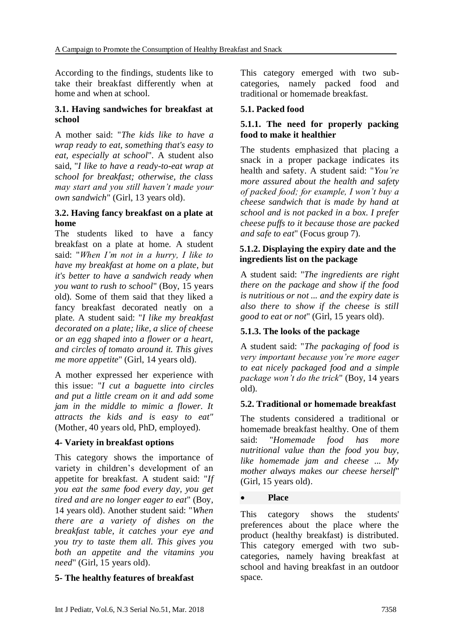According to the findings, students like to take their breakfast differently when at home and when at school.

#### **3.1. Having sandwiches for breakfast at school**

A mother said: "*The kids like to have a wrap ready to eat, something that's easy to eat, especially at school*". A student also said, "*I like to have a ready-to-eat wrap at school for breakfast; otherwise, the class may start and you still haven't made your own sandwich*" (Girl, 13 years old).

#### **3.2. Having fancy breakfast on a plate at home**

The students liked to have a fancy breakfast on a plate at home. A student said: "*When I'm not in a hurry, I like to have my breakfast at home on a plate, but it's better to have a sandwich ready when you want to rush to school*" (Boy, 15 years old). Some of them said that they liked a fancy breakfast decorated neatly on a plate. A student said: "*I like my breakfast decorated on a plate; like, a slice of cheese or an egg shaped into a flower or a heart, and circles of tomato around it. This gives me more appetite*" (Girl, 14 years old).

A mother expressed her experience with this issue: "*I cut a baguette into circles and put a little cream on it and add some jam in the middle to mimic a flower. It attracts the kids and is easy to eat"*  (Mother, 40 years old, PhD, employed).

#### **4- Variety in breakfast options**

This category shows the importance of variety in children's development of an appetite for breakfast. A student said: "*If you eat the same food every day, you get tired and are no longer eager to eat*" (Boy, 14 years old). Another student said: "*When there are a variety of dishes on the breakfast table, it catches your eye and you try to taste them all. This gives you both an appetite and the vitamins you need*" (Girl, 15 years old).

#### **5- The healthy features of breakfast**

This category emerged with two subcategories, namely packed food and traditional or homemade breakfast.

#### **5.1. Packed food**

#### **5.1.1. The need for properly packing food to make it healthier**

The students emphasized that placing a snack in a proper package indicates its health and safety. A student said: "*You're more assured about the health and safety of packed food; for example, I won't buy a cheese sandwich that is made by hand at school and is not packed in a box. I prefer cheese puffs to it because those are packed and safe to eat*" (Focus group 7).

#### **5.1.2. Displaying the expiry date and the ingredients list on the package**

A student said: "*The ingredients are right there on the package and show if the food is nutritious or not ... and the expiry date is also there to show if the cheese is still good to eat or not*" (Girl, 15 years old).

#### **5.1.3. The looks of the package**

A student said: "*The packaging of food is very important because you're more eager to eat nicely packaged food and a simple package won't do the trick*" (Boy, 14 years old).

#### **5.2. Traditional or homemade breakfast**

The students considered a traditional or homemade breakfast healthy. One of them said: "*Homemade food has more nutritional value than the food you buy, like homemade jam and cheese ... My mother always makes our cheese herself*" (Girl, 15 years old).

#### **Place**

This category shows the students' preferences about the place where the product (healthy breakfast) is distributed. This category emerged with two subcategories, namely having breakfast at school and having breakfast in an outdoor space.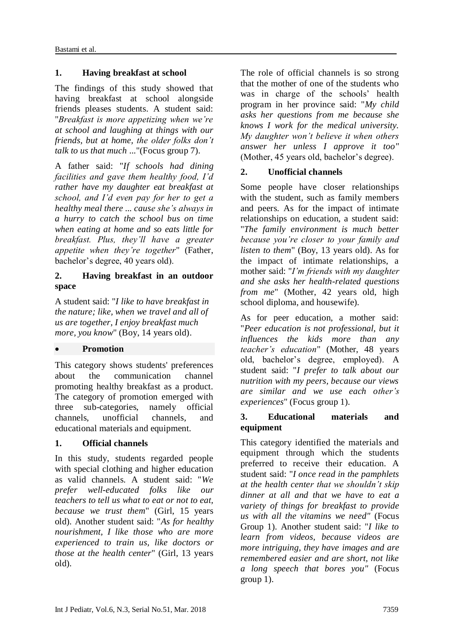### **1. Having breakfast at school**

The findings of this study showed that having breakfast at school alongside friends pleases students. A student said: "*Breakfast is more appetizing when we're at school and laughing at things with our friends, but at home, the older folks don't talk to us that much* ..."(Focus group 7).

A father said: "*If schools had dining facilities and gave them healthy food, I'd rather have my daughter eat breakfast at school, and I'd even pay for her to get a healthy meal there ... cause she's always in a hurry to catch the school bus on time when eating at home and so eats little for breakfast. Plus, they'll have a greater appetite when they're together*" (Father, bachelor's degree, 40 years old).

#### **2. Having breakfast in an outdoor space**

A student said: "*I like to have breakfast in the nature; like, when we travel and all of us are together, I enjoy breakfast much more, you know*" (Boy, 14 years old).

#### **Promotion**

This category shows students' preferences about the communication channel promoting healthy breakfast as a product. The category of promotion emerged with three sub-categories, namely official channels, unofficial channels, and educational materials and equipment.

### **1. Official channels**

In this study, students regarded people with special clothing and higher education as valid channels. A student said: "*We prefer well-educated folks like our teachers to tell us what to eat or not to eat, because we trust them*" (Girl, 15 years old). Another student said: "*As for healthy nourishment, I like those who are more experienced to train us, like doctors or those at the health center*" (Girl, 13 years old).

The role of official channels is so strong that the mother of one of the students who was in charge of the schools' health program in her province said: "*My child asks her questions from me because she knows I work for the medical university. My daughter won't believe it when others answer her unless I approve it too"*  (Mother, 45 years old, bachelor's degree).

### **2. Unofficial channels**

Some people have closer relationships with the student, such as family members and peers. As for the impact of intimate relationships on education, a student said: "*The family environment is much better because you're closer to your family and listen to them*" (Boy, 13 years old). As for the impact of intimate relationships, a mother said: "*I'm friends with my daughter and she asks her health-related questions from me*" (Mother, 42 years old, high school diploma, and housewife).

As for peer education, a mother said: "*Peer education is not professional, but it influences the kids more than any teacher's education*" (Mother, 48 years old, bachelor's degree, employed). A student said: "*I prefer to talk about our nutrition with my peers, because our views are similar and we use each other's experiences*" (Focus group 1).

#### **3. Educational materials and equipment**

This category identified the materials and equipment through which the students preferred to receive their education. A student said: "*I once read in the pamphlets at the health center that we shouldn't skip dinner at all and that we have to eat a variety of things for breakfast to provide us with all the vitamins we need"* (Focus Group 1). Another student said: "*I like to learn from videos, because videos are more intriguing, they have images and are remembered easier and are short, not like a long speech that bores you"* (Focus group 1).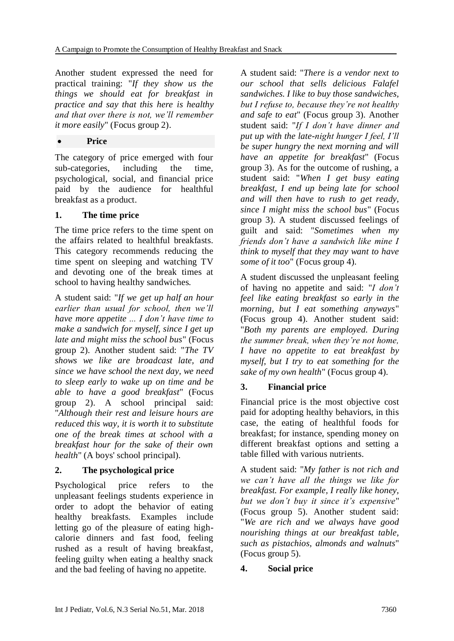Another student expressed the need for practical training: "*If they show us the things we should eat for breakfast in practice and say that this here is healthy and that over there is not, we'll remember it more easily*" (Focus group 2).

#### **Price**

The category of price emerged with four sub-categories, including the time, psychological, social, and financial price paid by the audience for healthful breakfast as a product.

### **1. The time price**

The time price refers to the time spent on the affairs related to healthful breakfasts. This category recommends reducing the time spent on sleeping and watching TV and devoting one of the break times at school to having healthy sandwiches.

A student said: "*If we get up half an hour earlier than usual for school, then we'll have more appetite ... I don't have time to make a sandwich for myself, since I get up late and might miss the school bus*" (Focus group 2). Another student said: "*The TV shows we like are broadcast late, and since we have school the next day, we need to sleep early to wake up on time and be able to have a good breakfast*" (Focus group 2). A school principal said: "*Although their rest and leisure hours are reduced this way, it is worth it to substitute one of the break times at school with a breakfast hour for the sake of their own health*" (A boys' school principal).

### **2. The psychological price**

Psychological price refers to the unpleasant feelings students experience in order to adopt the behavior of eating healthy breakfasts. Examples include letting go of the pleasure of eating highcalorie dinners and fast food, feeling rushed as a result of having breakfast, feeling guilty when eating a healthy snack and the bad feeling of having no appetite.

A student said: "*There is a vendor next to our school that sells delicious Falafel sandwiches. I like to buy those sandwiches, but I refuse to, because they're not healthy and safe to eat*" (Focus group 3). Another student said: "*If I don't have dinner and put up with the late-night hunger I feel, I'll be super hungry the next morning and will have an appetite for breakfast*" (Focus group 3). As for the outcome of rushing, a student said: "*When I get busy eating breakfast, I end up being late for school and will then have to rush to get ready, since I might miss the school bus*" (Focus group 3). A student discussed feelings of guilt and said: "*Sometimes when my friends don't have a sandwich like mine I think to myself that they may want to have some of it too*" (Focus group 4).

A student discussed the unpleasant feeling of having no appetite and said: "*I don't feel like eating breakfast so early in the morning, but I eat something anyways*" (Focus group 4). Another student said: "*Both my parents are employed. During the summer break, when they're not home, I have no appetite to eat breakfast by myself, but I try to eat something for the sake of my own health*" (Focus group 4).

### **3. Financial price**

Financial price is the most objective cost paid for adopting healthy behaviors, in this case, the eating of healthful foods for breakfast; for instance, spending money on different breakfast options and setting a table filled with various nutrients.

A student said: "*My father is not rich and we can't have all the things we like for breakfast. For example, I really like honey, but we don't buy it since it's expensive*" (Focus group 5). Another student said: "*We are rich and we always have good nourishing things at our breakfast table, such as pistachios, almonds and walnuts*" (Focus group 5).

### **4. Social price**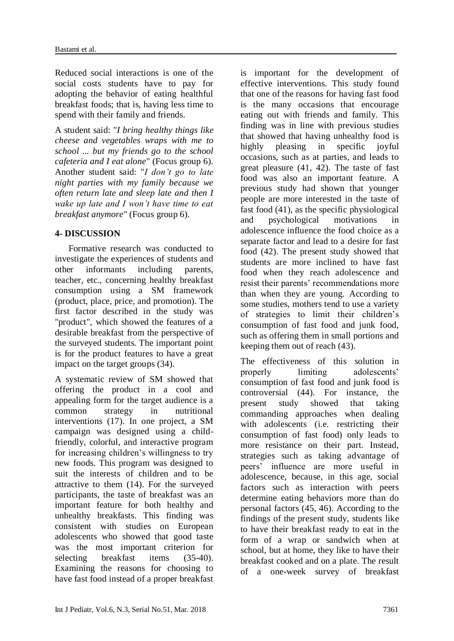Reduced social interactions is one of the social costs students have to pay for adopting the behavior of eating healthful breakfast foods; that is, having less time to spend with their family and friends.

A student said: "*I bring healthy things like cheese and vegetables wraps with me to school ... but my friends go to the school cafeteria and I eat alone*" (Focus group 6). Another student said: "*I don't go to late night parties with my family because we often return late and sleep late and then I wake up late and I won't have time to eat breakfast anymore*" (Focus group 6).

### **4- DISCUSSION**

 Formative research was conducted to investigate the experiences of students and other informants including parents, teacher, etc., concerning healthy breakfast consumption using a SM framework (product, place, price, and promotion). The first factor described in the study was "product", which showed the features of a desirable breakfast from the perspective of the surveyed students. The important point is for the product features to have a great impact on the target groups [\(34\)](#page-13-7).

A systematic review of SM showed that offering the product in a cool and appealing form for the target audience is a common strategy in nutritional interventions [\(17\)](#page-12-4). In one project, a SM campaign was designed using a childfriendly, colorful, and interactive program for increasing children's willingness to try new foods. This program was designed to suit the interests of children and to be attractive to them [\(14\)](#page-12-1). For the surveyed participants, the taste of breakfast was an important feature for both healthy and unhealthy breakfasts. This finding was consistent with studies on European adolescents who showed that good taste was the most important criterion for selecting breakfast items [\(35-40\)](#page-13-8). Examining the reasons for choosing to have fast food instead of a proper breakfast

is important for the development of effective interventions. This study found that one of the reasons for having fast food is the many occasions that encourage eating out with friends and family. This finding was in line with previous studies that showed that having unhealthy food is highly pleasing in specific joyful occasions, such as at parties, and leads to great pleasure [\(41,](#page-13-9) [42\)](#page-14-0). The taste of fast food was also an important feature. A previous study had shown that younger people are more interested in the taste of fast food [\(41\)](#page-13-9), as the specific physiological and psychological motivations in adolescence influence the food choice as a separate factor and lead to a desire for fast food [\(42\)](#page-14-0). The present study showed that students are more inclined to have fast food when they reach adolescence and resist their parents' recommendations more than when they are young. According to some studies, mothers tend to use a variety of strategies to limit their children's consumption of fast food and junk food, such as offering them in small portions and keeping them out of reach [\(43\)](#page-14-1).

The effectiveness of this solution in properly limiting adolescents' consumption of fast food and junk food is controversial [\(44\)](#page-14-2). For instance, the present study showed that taking commanding approaches when dealing with adolescents (i.e. restricting their consumption of fast food) only leads to more resistance on their part. Instead, strategies such as taking advantage of peers' influence are more useful in adolescence, because, in this age, social factors such as interaction with peers determine eating behaviors more than do personal factors [\(45,](#page-14-3) [46\)](#page-14-4). According to the findings of the present study, students like to have their breakfast ready to eat in the form of a wrap or sandwich when at school, but at home, they like to have their breakfast cooked and on a plate. The result of a one-week survey of breakfast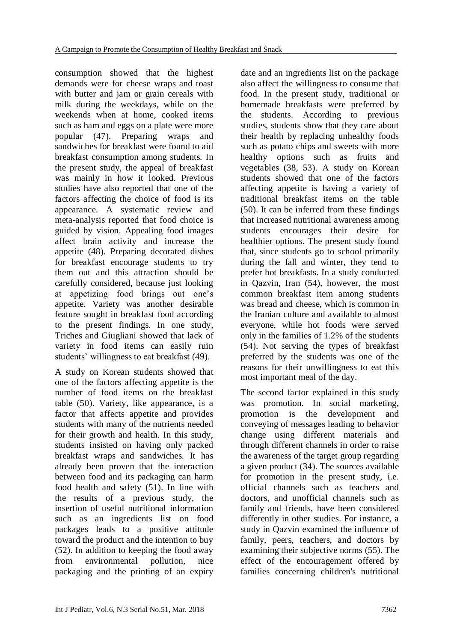consumption showed that the highest demands were for cheese wraps and toast with butter and jam or grain cereals with milk during the weekdays, while on the weekends when at home, cooked items such as ham and eggs on a plate were more popular [\(47\)](#page-14-5). Preparing wraps and sandwiches for breakfast were found to aid breakfast consumption among students. In the present study, the appeal of breakfast was mainly in how it looked. Previous studies have also reported that one of the factors affecting the choice of food is its appearance. A systematic review and meta-analysis reported that food choice is guided by vision. Appealing food images affect brain activity and increase the appetite [\(48\)](#page-14-6). Preparing decorated dishes for breakfast encourage students to try them out and this attraction should be carefully considered, because just looking at appetizing food brings out one's appetite. Variety was another desirable feature sought in breakfast food according to the present findings. In one study, Triches and Giugliani showed that lack of variety in food items can easily ruin students' willingness to eat breakfast [\(49\)](#page-14-7).

A study on Korean students showed that one of the factors affecting appetite is the number of food items on the breakfast table [\(50\)](#page-14-8). Variety, like appearance, is a factor that affects appetite and provides students with many of the nutrients needed for their growth and health. In this study, students insisted on having only packed breakfast wraps and sandwiches. It has already been proven that the interaction between food and its packaging can harm food health and safety [\(51\)](#page-14-9). In line with the results of a previous study, the insertion of useful nutritional information such as an ingredients list on food packages leads to a positive attitude toward the product and the intention to buy [\(52\)](#page-14-10). In addition to keeping the food away from environmental pollution, nice packaging and the printing of an expiry

date and an ingredients list on the package also affect the willingness to consume that food. In the present study, traditional or homemade breakfasts were preferred by the students. According to previous studies, students show that they care about their health by replacing unhealthy foods such as potato chips and sweets with more healthy options such as fruits and vegetables [\(38,](#page-13-10) [53\)](#page-14-11). A study on Korean students showed that one of the factors affecting appetite is having a variety of traditional breakfast items on the table [\(50\)](#page-14-8). It can be inferred from these findings that increased nutritional awareness among students encourages their desire for healthier options. The present study found that, since students go to school primarily during the fall and winter, they tend to prefer hot breakfasts. In a study conducted in Qazvin, Iran [\(54\)](#page-14-12), however, the most common breakfast item among students was bread and cheese, which is common in the Iranian culture and available to almost everyone, while hot foods were served only in the families of 1.2% of the students [\(54\)](#page-14-12). Not serving the types of breakfast preferred by the students was one of the reasons for their unwillingness to eat this most important meal of the day.

The second factor explained in this study was promotion. In social marketing, promotion is the development and conveying of messages leading to behavior change using different materials and through different channels in order to raise the awareness of the target group regarding a given product [\(34\)](#page-13-7). The sources available for promotion in the present study, i.e. official channels such as teachers and doctors, and unofficial channels such as family and friends, have been considered differently in other studies. For instance, a study in Qazvin examined the influence of family, peers, teachers, and doctors by examining their subjective norms [\(55\)](#page-14-13). The effect of the encouragement offered by families concerning children's nutritional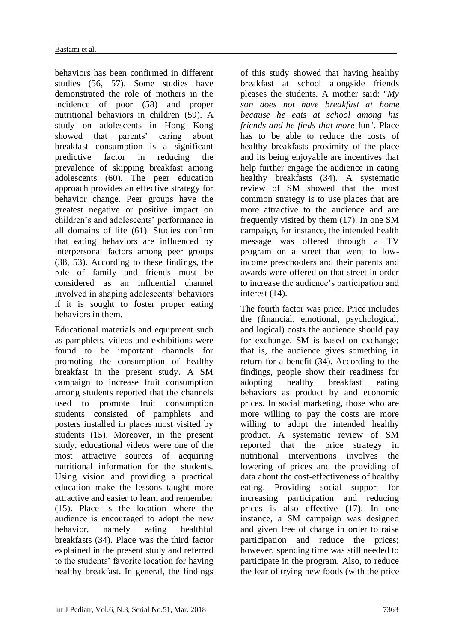behaviors has been confirmed in different studies [\(56,](#page-14-14) [57\)](#page-14-15). Some studies have demonstrated the role of mothers in the incidence of poor [\(58\)](#page-14-16) and proper nutritional behaviors in children [\(59\)](#page-14-17). A study on adolescents in Hong Kong showed that parents' caring about breakfast consumption is a significant predictive factor in reducing the prevalence of skipping breakfast among adolescents [\(60\)](#page-14-18). The peer education approach provides an effective strategy for behavior change. Peer groups have the greatest negative or positive impact on children's and adolescents' performance in all domains of life [\(61\)](#page-14-19). Studies confirm that eating behaviors are influenced by interpersonal factors among peer groups [\(38,](#page-13-10) [53\)](#page-14-11). According to these findings, the role of family and friends must be considered as an influential channel involved in shaping adolescents' behaviors if it is sought to foster proper eating behaviors in them.

Educational materials and equipment such as pamphlets, videos and exhibitions were found to be important channels for promoting the consumption of healthy breakfast in the present study. A SM campaign to increase fruit consumption among students reported that the channels used to promote fruit consumption students consisted of pamphlets and posters installed in places most visited by students [\(15\)](#page-12-7). Moreover, in the present study, educational videos were one of the most attractive sources of acquiring nutritional information for the students. Using vision and providing a practical education make the lessons taught more attractive and easier to learn and remember [\(15\)](#page-12-7). Place is the location where the audience is encouraged to adopt the new behavior, namely eating healthful breakfasts [\(34\)](#page-13-7). Place was the third factor explained in the present study and referred to the students' favorite location for having healthy breakfast. In general, the findings

of this study showed that having healthy breakfast at school alongside friends pleases the students. A mother said: "*My son does not have breakfast at home because he eats at school among his friends and he finds that more* fun". Place has to be able to reduce the costs of healthy breakfasts proximity of the place and its being enjoyable are incentives that help further engage the audience in eating healthy breakfasts [\(34\)](#page-13-7). A systematic review of SM showed that the most common strategy is to use places that are more attractive to the audience and are frequently visited by them [\(17\)](#page-12-4). In one SM campaign, for instance, the intended health message was offered through a TV program on a street that went to lowincome preschoolers and their parents and awards were offered on that street in order to increase the audience's participation and interest [\(14\)](#page-12-1).

The fourth factor was price. Price includes the (financial, emotional, psychological, and logical) costs the audience should pay for exchange. SM is based on exchange; that is, the audience gives something in return for a benefit [\(34\)](#page-13-7). According to the findings, people show their readiness for adopting healthy breakfast eating behaviors as product by and economic prices. In social marketing, those who are more willing to pay the costs are more willing to adopt the intended healthy product. A systematic review of SM reported that the price strategy in nutritional interventions involves the lowering of prices and the providing of data about the cost-effectiveness of healthy eating. Providing social support for increasing participation and reducing prices is also effective [\(17\)](#page-12-4). In one instance, a SM campaign was designed and given free of charge in order to raise participation and reduce the prices; however, spending time was still needed to participate in the program. Also, to reduce the fear of trying new foods (with the price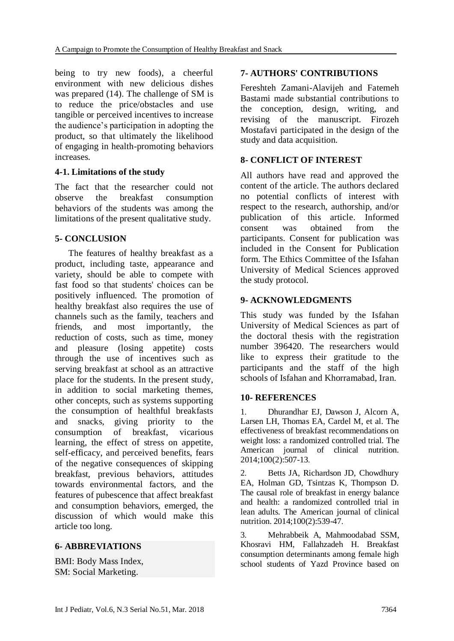being to try new foods), a cheerful environment with new delicious dishes was prepared [\(14\)](#page-12-1). The challenge of SM is to reduce the price/obstacles and use tangible or perceived incentives to increase the audience's participation in adopting the product, so that ultimately the likelihood of engaging in health-promoting behaviors increases.

#### **4-1. Limitations of the study**

The fact that the researcher could not observe the breakfast consumption behaviors of the students was among the limitations of the present qualitative study.

### **5- CONCLUSION**

 The features of healthy breakfast as a product, including taste, appearance and variety, should be able to compete with fast food so that students' choices can be positively influenced. The promotion of healthy breakfast also requires the use of channels such as the family, teachers and friends, and most importantly, the reduction of costs, such as time, money and pleasure (losing appetite) costs through the use of incentives such as serving breakfast at school as an attractive place for the students. In the present study, in addition to social marketing themes, other concepts, such as systems supporting the consumption of healthful breakfasts and snacks, giving priority to the consumption of breakfast, vicarious learning, the effect of stress on appetite, self-efficacy, and perceived benefits, fears of the negative consequences of skipping breakfast, previous behaviors, attitudes towards environmental factors, and the features of pubescence that affect breakfast and consumption behaviors, emerged, the discussion of which would make this article too long.

#### **6- ABBREVIATIONS**

BMI: Body Mass Index, SM: Social Marketing.

### **7- AUTHORS' CONTRIBUTIONS**

Fereshteh Zamani-Alavijeh and Fatemeh Bastami made substantial contributions to the conception, design, writing, and revising of the manuscript. Firozeh Mostafavi participated in the design of the study and data acquisition.

### **8- CONFLICT OF INTEREST**

All authors have read and approved the content of the article. The authors declared no potential conflicts of interest with respect to the research, authorship, and/or publication of this article. Informed consent was obtained from the participants. Consent for publication was included in the Consent for Publication form. The Ethics Committee of the Isfahan University of Medical Sciences approved the study protocol.

### **9- ACKNOWLEDGMENTS**

This study was funded by the Isfahan University of Medical Sciences as part of the doctoral thesis with the registration number 396420. The researchers would like to express their gratitude to the participants and the staff of the high schools of Isfahan and Khorramabad, Iran.

#### **10- REFERENCES**

<span id="page-11-0"></span>1. Dhurandhar EJ, Dawson J, Alcorn A, Larsen LH, Thomas EA, Cardel M, et al. The effectiveness of breakfast recommendations on weight loss: a randomized controlled trial. The American journal of clinical nutrition. 2014;100(2):507-13.

<span id="page-11-1"></span>2. Betts JA, Richardson JD, Chowdhury EA, Holman GD, Tsintzas K, Thompson D. The causal role of breakfast in energy balance and health: a randomized controlled trial in lean adults. The American journal of clinical nutrition. 2014;100(2):539-47.

<span id="page-11-2"></span>3. Mehrabbeik A, Mahmoodabad SSM, Khosravi HM, Fallahzadeh H. Breakfast consumption determinants among female high school students of Yazd Province based on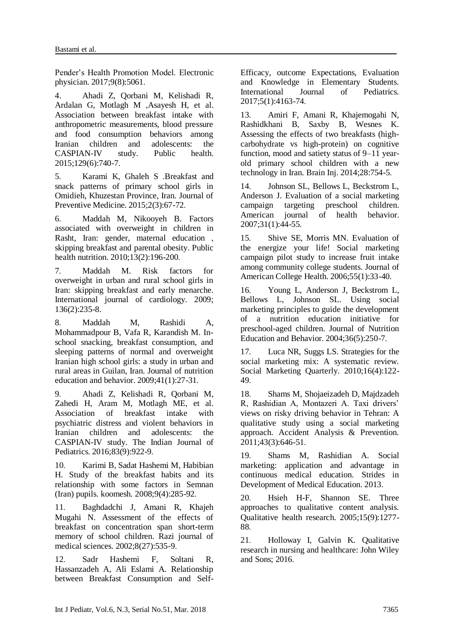Pender's Health Promotion Model. Electronic physician. 2017;9(8):5061.

<span id="page-12-0"></span>4. Ahadi Z, Qorbani M, Kelishadi R, Ardalan G, Motlagh M ,Asayesh H, et al. Association between breakfast intake with anthropometric measurements, blood pressure and food consumption behaviors among Iranian children and adolescents: the CASPIAN-IV study. Public health. 2015;129(6):740-7.

5. Karami K, Ghaleh S .Breakfast and snack patterns of primary school girls in Omidieh, Khuzestan Province, Iran. Journal of Preventive Medicine. 2015;2(3):67-72.

6. Maddah M, Nikooyeh B. Factors associated with overweight in children in Rasht, Iran: gender, maternal education , skipping breakfast and parental obesity. Public health nutrition. 2010;13(2):196-200.

7. Maddah M. Risk factors for overweight in urban and rural school girls in Iran: skipping breakfast and early menarche. International journal of cardiology. 2009; 136(2):235-8.

8. Maddah M, Rashidi A, Mohammadpour B, Vafa R, Karandish M. Inschool snacking, breakfast consumption, and sleeping patterns of normal and overweight Iranian high school girls: a study in urban and rural areas in Guilan, Iran. Journal of nutrition education and behavior. 2009;41(1):27-31.

9. Ahadi Z, Kelishadi R, Qorbani M, Zahedi H, Aram M, Motlagh ME, et al. Association of breakfast intake with psychiatric distress and violent behaviors in Iranian children and adolescents: the CASPIAN-IV study. The Indian Journal of Pediatrics. 2016;83(9):922-9.

10. Karimi B, Sadat Hashemi M, Habibian H. Study of the breakfast habits and its relationship with some factors in Semnan (Iran) pupils. koomesh. 2008;9(4):285-92.

11. Baghdadchi J, Amani R, Khajeh Mugahi N. Assessment of the effects of breakfast on concentration span short-term memory of school children. Razi journal of medical sciences. 2002;8(27):535-9.

12. Sadr Hashemi F, Soltani R, Hassanzadeh A, Ali Eslami A. Relationship between Breakfast Consumption and SelfEfficacy, outcome Expectations, Evaluation and Knowledge in Elementary Students. International Journal of Pediatrics. 2017;5(1):4163-74.

13. Amiri F, Amani R, Khajemogahi N, Rashidkhani B, Saxby B, Wesnes K. Assessing the effects of two breakfasts (highcarbohydrate vs high-protein) on cognitive function, mood and satiety status of 9–11 yearold primary school children with a new technology in Iran. Brain Inj. 2014;28:754-5.

<span id="page-12-1"></span>Johnson SL, Bellows L, Beckstrom L, Anderson J. Evaluation of a social marketing campaign targeting preschool children. American journal of health behavior. 2007;31(1):44-55.

<span id="page-12-7"></span>15. Shive SE, Morris MN. Evaluation of the energize your life! Social marketing campaign pilot study to increase fruit intake among community college students. Journal of American College Health. 2006;55(1):33-40.

16. Young L, Anderson J, Beckstrom L, Bellows L, Johnson SL. Using social marketing principles to guide the development of a nutrition education initiative for preschool-aged children. Journal of Nutrition Education and Behavior. 2004;36(5):250-7.

<span id="page-12-4"></span>17. Luca NR, Suggs LS. Strategies for the social marketing mix: A systematic review. Social Marketing Quarterly. 2010;16(4):122- 49.

<span id="page-12-2"></span>18. Shams M, Shojaeizadeh D, Majdzadeh R, Rashidian A, Montazeri A. Taxi drivers' views on risky driving behavior in Tehran: A qualitative study using a social marketing approach. Accident Analysis & Prevention. 2011;43(3):646-51.

<span id="page-12-3"></span>19. Shams M, Rashidian A. Social marketing: application and advantage in continuous medical education. Strides in Development of Medical Education. 2013.

<span id="page-12-5"></span>20. Hsieh H-F, Shannon SE. Three approaches to qualitative content analysis. Qualitative health research. 2005;15(9):1277- 88.

<span id="page-12-6"></span>21. Holloway I, Galvin K. Qualitative research in nursing and healthcare: John Wiley and Sons; 2016.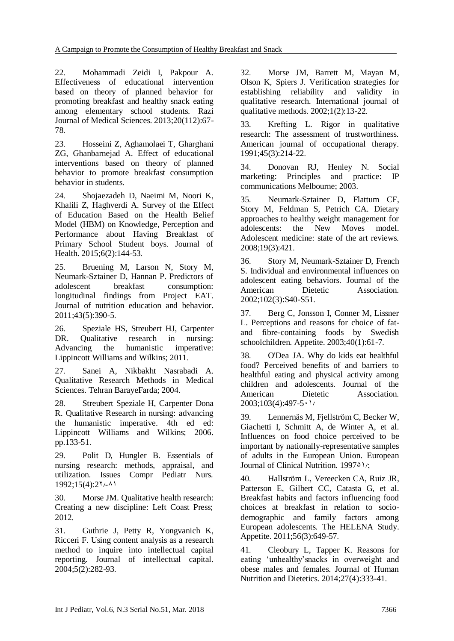<span id="page-13-0"></span>22. Mohammadi Zeidi I, Pakpour A. Effectiveness of educational intervention based on theory of planned behavior for promoting breakfast and healthy snack eating among elementary school students. Razi Journal of Medical Sciences. 2013;20(112):67- 78.

23. Hosseini Z, Aghamolaei T, Gharghani ZG, Ghanbarnejad A. Effect of educational interventions based on theory of planned behavior to promote breakfast consumption behavior in students.

24. Shojaezadeh D, Naeimi M, Noori K, Khalili Z, Haghverdi A. Survey of the Effect of Education Based on the Health Belief Model (HBM) on Knowledge, Perception and Performance about Having Breakfast of Primary School Student boys. Journal of Health. 2015;6(2):144-53.

25. Bruening M, Larson N, Story M, Neumark-Sztainer D, Hannan P. Predictors of adolescent breakfast consumption: longitudinal findings from Project EAT. Journal of nutrition education and behavior. 2011;43(5):390-5.

<span id="page-13-1"></span>26. Speziale HS, Streubert HJ, Carpenter DR. Qualitative research in nursing: Advancing the humanistic imperative: Lippincott Williams and Wilkins; 2011.

<span id="page-13-2"></span>27. Sanei A, Nikbakht Nasrabadi A. Qualitative Research Methods in Medical Sciences. Tehran BarayeFarda; 2004.

<span id="page-13-3"></span>28. Streubert Speziale H, Carpenter Dona R. Qualitative Research in nursing: advancing the humanistic imperative. 4th ed ed: Lippincott Williams and Wilkins; 2006. pp.133-51.

<span id="page-13-4"></span>29. Polit D, Hungler B. Essentials of nursing research: methods, appraisal, and utilization. Issues Compr Pediatr Nurs.  $1992;15(4):27/-11$ 

30. Morse JM. Qualitative health research: Creating a new discipline: Left Coast Press; 2012.

31. Guthrie J, Petty R, Yongvanich K, Ricceri F. Using content analysis as a research method to inquire into intellectual capital reporting. Journal of intellectual capital. 2004;5(2):282-93.

<span id="page-13-5"></span>32. Morse JM, Barrett M, Mayan M, Olson K, Spiers J. Verification strategies for establishing reliability and validity in qualitative research. International journal of qualitative methods. 2002;1(2):13-22.

<span id="page-13-6"></span>33. Krefting L. Rigor in qualitative research: The assessment of trustworthiness. American journal of occupational therapy. 1991;45(3):214-22.

<span id="page-13-7"></span>34. Donovan RJ, Henley N. Social marketing: Principles and practice: IP communications Melbourne; 2003.

<span id="page-13-8"></span>35. Neumark-Sztainer D, Flattum CF, Story M, Feldman S, Petrich CA. Dietary approaches to healthy weight management for adolescents: the New Moves model. Adolescent medicine: state of the art reviews. 2008;19(3):421.

36. Story M, Neumark-Sztainer D, French S. Individual and environmental influences on adolescent eating behaviors. Journal of the American Dietetic Association. 2002;102(3):S40-S51.

37. Berg C, Jonsson I, Conner M, Lissner L. Perceptions and reasons for choice of fatand fibre-containing foods by Swedish schoolchildren. Appetite. 2003;40(1):61-7.

<span id="page-13-10"></span>38. O'Dea JA. Why do kids eat healthful food? Perceived benefits of and barriers to healthful eating and physical activity among children and adolescents. Journal of the American Dietetic Association.  $2003;103(4):497-5$ 

39. Lennernäs M, Fjellström C, Becker W, Giachetti I, Schmitt A, de Winter A, et al. Influences on food choice perceived to be important by nationally-representative samples of adults in the European Union. European Journal of Clinical Nutrition. 1997<sup> $\Delta$ 1</sup>/;

40. Hallström L, Vereecken CA, Ruiz JR, Patterson E, Gilbert CC, Catasta G, et al. Breakfast habits and factors influencing food choices at breakfast in relation to sociodemographic and family factors among European adolescents. The HELENA Study. Appetite. 2011;56(3):649-57.

<span id="page-13-9"></span>41. Cleobury L, Tapper K. Reasons for eating 'unhealthy'snacks in overweight and obese males and females. Journal of Human Nutrition and Dietetics. 2014;27(4):333-41.